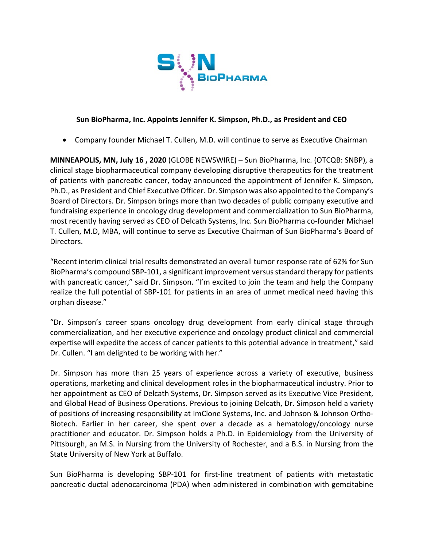

## **Sun BioPharma, Inc. Appoints Jennifer K. Simpson, Ph.D., as President and CEO**

• Company founder Michael T. Cullen, M.D. will continue to serve as Executive Chairman

**MINNEAPOLIS, MN, July 16 , 2020** (GLOBE NEWSWIRE) – Sun BioPharma, Inc. (OTCQB: SNBP), a clinical stage biopharmaceutical company developing disruptive therapeutics for the treatment of patients with pancreatic cancer, today announced the appointment of Jennifer K. Simpson, Ph.D., as President and Chief Executive Officer. Dr. Simpson was also appointed to the Company's Board of Directors. Dr. Simpson brings more than two decades of public company executive and fundraising experience in oncology drug development and commercialization to Sun BioPharma, most recently having served as CEO of Delcath Systems, Inc. Sun BioPharma co-founder Michael T. Cullen, M.D, MBA, will continue to serve as Executive Chairman of Sun BioPharma's Board of Directors.

"Recent interim clinical trial results demonstrated an overall tumor response rate of 62% for Sun BioPharma's compound SBP-101, a significant improvement versus standard therapy for patients with pancreatic cancer," said Dr. Simpson. "I'm excited to join the team and help the Company realize the full potential of SBP-101 for patients in an area of unmet medical need having this orphan disease."

"Dr. Simpson's career spans oncology drug development from early clinical stage through commercialization, and her executive experience and oncology product clinical and commercial expertise will expedite the access of cancer patients to this potential advance in treatment," said Dr. Cullen. "I am delighted to be working with her."

Dr. Simpson has more than 25 years of experience across a variety of executive, business operations, marketing and clinical development roles in the biopharmaceutical industry. Prior to her appointment as CEO of Delcath Systems, Dr. Simpson served as its Executive Vice President, and Global Head of Business Operations. Previous to joining Delcath, Dr. Simpson held a variety of positions of increasing responsibility at ImClone Systems, Inc. and Johnson & Johnson Ortho-Biotech. Earlier in her career, she spent over a decade as a hematology/oncology nurse practitioner and educator. Dr. Simpson holds a Ph.D. in Epidemiology from the University of Pittsburgh, an M.S. in Nursing from the University of Rochester, and a B.S. in Nursing from the State University of New York at Buffalo.

Sun BioPharma is developing SBP-101 for first-line treatment of patients with metastatic pancreatic ductal adenocarcinoma (PDA) when administered in combination with gemcitabine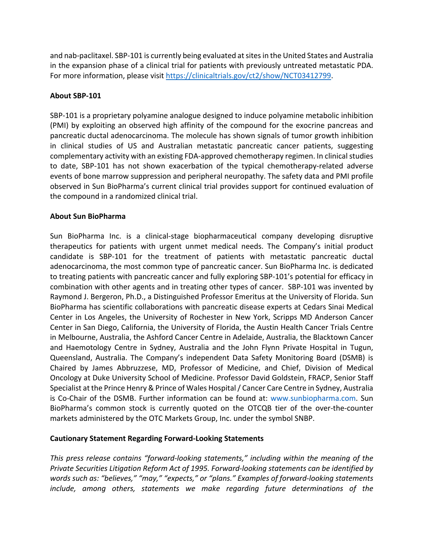and nab-paclitaxel. SBP-101 is currently being evaluated at sites in the United States and Australia in the expansion phase of a clinical trial for patients with previously untreated metastatic PDA. For more information, please visit https://clinicaltrials.gov/ct2/show/NCT03412799.

## **About SBP-101**

SBP-101 is a proprietary polyamine analogue designed to induce polyamine metabolic inhibition (PMI) by exploiting an observed high affinity of the compound for the exocrine pancreas and pancreatic ductal adenocarcinoma. The molecule has shown signals of tumor growth inhibition in clinical studies of US and Australian metastatic pancreatic cancer patients, suggesting complementary activity with an existing FDA-approved chemotherapy regimen. In clinical studies to date, SBP-101 has not shown exacerbation of the typical chemotherapy-related adverse events of bone marrow suppression and peripheral neuropathy. The safety data and PMI profile observed in Sun BioPharma's current clinical trial provides support for continued evaluation of the compound in a randomized clinical trial.

## **About Sun BioPharma**

Sun BioPharma Inc. is a clinical-stage biopharmaceutical company developing disruptive therapeutics for patients with urgent unmet medical needs. The Company's initial product candidate is SBP-101 for the treatment of patients with metastatic pancreatic ductal adenocarcinoma, the most common type of pancreatic cancer. Sun BioPharma Inc. is dedicated to treating patients with pancreatic cancer and fully exploring SBP-101's potential for efficacy in combination with other agents and in treating other types of cancer. SBP-101 was invented by Raymond J. Bergeron, Ph.D., a Distinguished Professor Emeritus at the University of Florida. Sun BioPharma has scientific collaborations with pancreatic disease experts at Cedars Sinai Medical Center in Los Angeles, the University of Rochester in New York, Scripps MD Anderson Cancer Center in San Diego, California, the University of Florida, the Austin Health Cancer Trials Centre in Melbourne, Australia, the Ashford Cancer Centre in Adelaide, Australia, the Blacktown Cancer and Haemotology Centre in Sydney, Australia and the John Flynn Private Hospital in Tugun, Queensland, Australia. The Company's independent Data Safety Monitoring Board (DSMB) is Chaired by James Abbruzzese, MD, Professor of Medicine, and Chief, Division of Medical Oncology at Duke University School of Medicine. Professor David Goldstein, FRACP, Senior Staff Specialist at the Prince Henry & Prince of Wales Hospital / Cancer Care Centre in Sydney, Australia is Co-Chair of the DSMB. Further information can be found at: www.sunbiopharma.com. Sun BioPharma's common stock is currently quoted on the OTCQB tier of the over-the-counter markets administered by the OTC Markets Group, Inc. under the symbol SNBP.

## **Cautionary Statement Regarding Forward-Looking Statements**

*This press release contains "forward-looking statements," including within the meaning of the Private Securities Litigation Reform Act of 1995. Forward-looking statements can be identified by words such as: "believes," "may," "expects," or "plans." Examples of forward-looking statements include, among others, statements we make regarding future determinations of the*